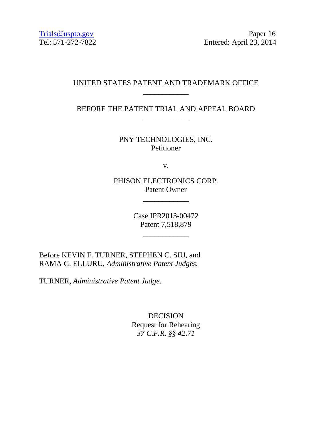Trials@uspto.gov Paper 16 Tel: 571-272-7822 Entered: April 23, 2014

# UNITED STATES PATENT AND TRADEMARK OFFICE \_\_\_\_\_\_\_\_\_\_\_\_

BEFORE THE PATENT TRIAL AND APPEAL BOARD \_\_\_\_\_\_\_\_\_\_\_\_

> PNY TECHNOLOGIES, INC. Petitioner

> > v.

PHISON ELECTRONICS CORP. Patent Owner

\_\_\_\_\_\_\_\_\_\_\_\_

Case IPR2013-00472 Patent 7,518,879

\_\_\_\_\_\_\_\_\_\_\_\_

Before KEVIN F. TURNER, STEPHEN C. SIU, and RAMA G. ELLURU, *Administrative Patent Judges.*

TURNER, *Administrative Patent Judge*.

DECISION Request for Rehearing *37 C.F.R. §§ 42.71*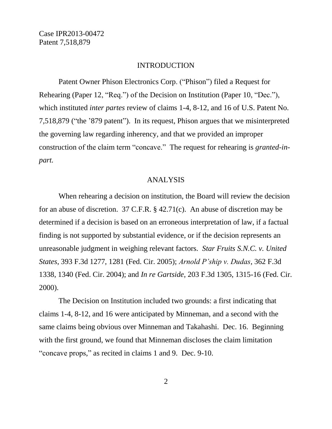#### INTRODUCTION

Patent Owner Phison Electronics Corp. ("Phison") filed a Request for Rehearing (Paper 12, "Req.") of the Decision on Institution (Paper 10, "Dec."), which instituted *inter partes* review of claims 1-4, 8-12, and 16 of U.S. Patent No. 7,518,879 ("the "879 patent"). In its request, Phison argues that we misinterpreted the governing law regarding inherency, and that we provided an improper construction of the claim term "concave." The request for rehearing is *granted-inpart.*

#### ANALYSIS

When rehearing a decision on institution, the Board will review the decision for an abuse of discretion. 37 C.F.R. § 42.71(c). An abuse of discretion may be determined if a decision is based on an erroneous interpretation of law, if a factual finding is not supported by substantial evidence, or if the decision represents an unreasonable judgment in weighing relevant factors. *Star Fruits S.N.C. v. United States*, 393 F.3d 1277, 1281 (Fed. Cir. 2005); *Arnold P'ship v. Dudas*, 362 F.3d 1338, 1340 (Fed. Cir. 2004); and *In re Gartside*, 203 F.3d 1305, 1315-16 (Fed. Cir. 2000).

The Decision on Institution included two grounds: a first indicating that claims 1-4, 8-12, and 16 were anticipated by Minneman, and a second with the same claims being obvious over Minneman and Takahashi. Dec. 16. Beginning with the first ground, we found that Minneman discloses the claim limitation "concave props," as recited in claims 1 and 9. Dec. 9-10.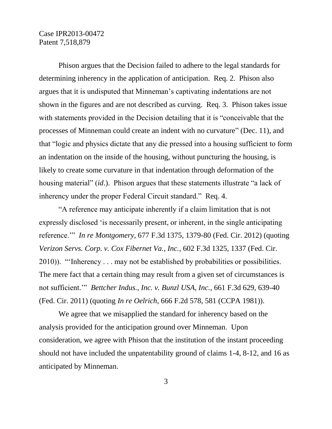Phison argues that the Decision failed to adhere to the legal standards for determining inherency in the application of anticipation. Req. 2. Phison also argues that it is undisputed that Minneman"s captivating indentations are not shown in the figures and are not described as curving. Req. 3. Phison takes issue with statements provided in the Decision detailing that it is "conceivable that the processes of Minneman could create an indent with no curvature" (Dec. 11), and that "logic and physics dictate that any die pressed into a housing sufficient to form an indentation on the inside of the housing, without puncturing the housing, is likely to create some curvature in that indentation through deformation of the housing material" (*id*.). Phison argues that these statements illustrate "a lack of inherency under the proper Federal Circuit standard." Req. 4.

"A reference may anticipate inherently if a claim limitation that is not expressly disclosed "is necessarily present, or inherent, in the single anticipating reference."" *In re Montgomery*, 677 F.3d 1375, 1379-80 (Fed. Cir. 2012) (quoting *Verizon Servs. Corp. v. Cox Fibernet Va., Inc.*, 602 F.3d 1325, 1337 (Fed. Cir. 2010)). ""Inherency . . . may not be established by probabilities or possibilities. The mere fact that a certain thing may result from a given set of circumstances is not sufficient."" *Bettcher Indus., Inc. v. Bunzl USA, Inc.*, 661 F.3d 629, 639-40 (Fed. Cir. 2011) (quoting *In re Oelrich*, 666 F.2d 578, 581 (CCPA 1981)).

We agree that we misapplied the standard for inherency based on the analysis provided for the anticipation ground over Minneman. Upon consideration, we agree with Phison that the institution of the instant proceeding should not have included the unpatentability ground of claims 1-4, 8-12, and 16 as anticipated by Minneman.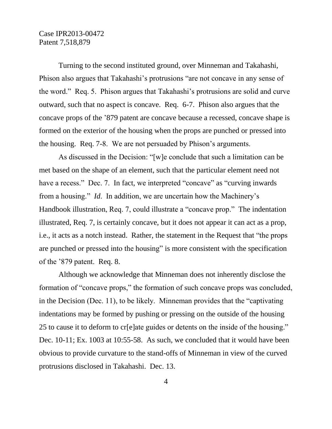Turning to the second instituted ground, over Minneman and Takahashi, Phison also argues that Takahashi"s protrusions "are not concave in any sense of the word." Req. 5. Phison argues that Takahashi"s protrusions are solid and curve outward, such that no aspect is concave. Req. 6-7. Phison also argues that the concave props of the "879 patent are concave because a recessed, concave shape is formed on the exterior of the housing when the props are punched or pressed into the housing. Req. 7-8. We are not persuaded by Phison"s arguments.

As discussed in the Decision: "[w]e conclude that such a limitation can be met based on the shape of an element, such that the particular element need not have a recess." Dec. 7. In fact, we interpreted "concave" as "curving inwards" from a housing." *Id*. In addition, we are uncertain how the Machinery"s Handbook illustration, Req. 7, could illustrate a "concave prop." The indentation illustrated, Req. 7, is certainly concave, but it does not appear it can act as a prop, i.e., it acts as a notch instead. Rather, the statement in the Request that "the props are punched or pressed into the housing" is more consistent with the specification of the "879 patent. Req. 8.

Although we acknowledge that Minneman does not inherently disclose the formation of "concave props," the formation of such concave props was concluded, in the Decision (Dec. 11), to be likely. Minneman provides that the "captivating indentations may be formed by pushing or pressing on the outside of the housing 25 to cause it to deform to cr[e]ate guides or detents on the inside of the housing." Dec. 10-11; Ex. 1003 at 10:55-58. As such, we concluded that it would have been obvious to provide curvature to the stand-offs of Minneman in view of the curved protrusions disclosed in Takahashi. Dec. 13.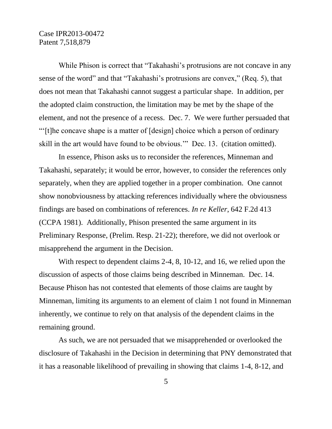While Phison is correct that "Takahashi's protrusions are not concave in any sense of the word" and that "Takahashi"s protrusions are convex," (Req. 5), that does not mean that Takahashi cannot suggest a particular shape. In addition, per the adopted claim construction, the limitation may be met by the shape of the element, and not the presence of a recess. Dec. 7. We were further persuaded that ""[t]he concave shape is a matter of [design] choice which a person of ordinary skill in the art would have found to be obvious."" Dec. 13. (citation omitted).

In essence, Phison asks us to reconsider the references, Minneman and Takahashi, separately; it would be error, however, to consider the references only separately, when they are applied together in a proper combination. One cannot show nonobviousness by attacking references individually where the obviousness findings are based on combinations of references. *In re Keller*, 642 F.2d 413 (CCPA 1981). Additionally, Phison presented the same argument in its Preliminary Response, (Prelim. Resp. 21-22); therefore, we did not overlook or misapprehend the argument in the Decision.

With respect to dependent claims 2-4, 8, 10-12, and 16, we relied upon the discussion of aspects of those claims being described in Minneman. Dec. 14. Because Phison has not contested that elements of those claims are taught by Minneman, limiting its arguments to an element of claim 1 not found in Minneman inherently, we continue to rely on that analysis of the dependent claims in the remaining ground.

As such, we are not persuaded that we misapprehended or overlooked the disclosure of Takahashi in the Decision in determining that PNY demonstrated that it has a reasonable likelihood of prevailing in showing that claims 1-4, 8-12, and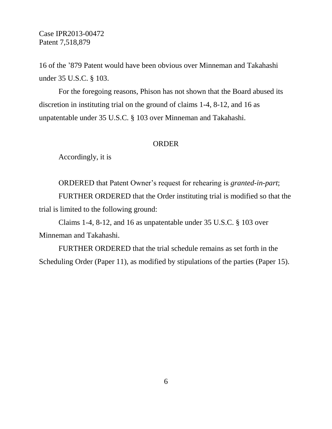16 of the "879 Patent would have been obvious over Minneman and Takahashi under 35 U.S.C. § 103.

For the foregoing reasons, Phison has not shown that the Board abused its discretion in instituting trial on the ground of claims 1-4, 8-12, and 16 as unpatentable under 35 U.S.C. § 103 over Minneman and Takahashi.

#### **ORDER**

Accordingly, it is

ORDERED that Patent Owner"s request for rehearing is *granted-in-part*;

FURTHER ORDERED that the Order instituting trial is modified so that the trial is limited to the following ground:

Claims 1-4, 8-12, and 16 as unpatentable under 35 U.S.C. § 103 over Minneman and Takahashi.

FURTHER ORDERED that the trial schedule remains as set forth in the Scheduling Order (Paper 11), as modified by stipulations of the parties (Paper 15).